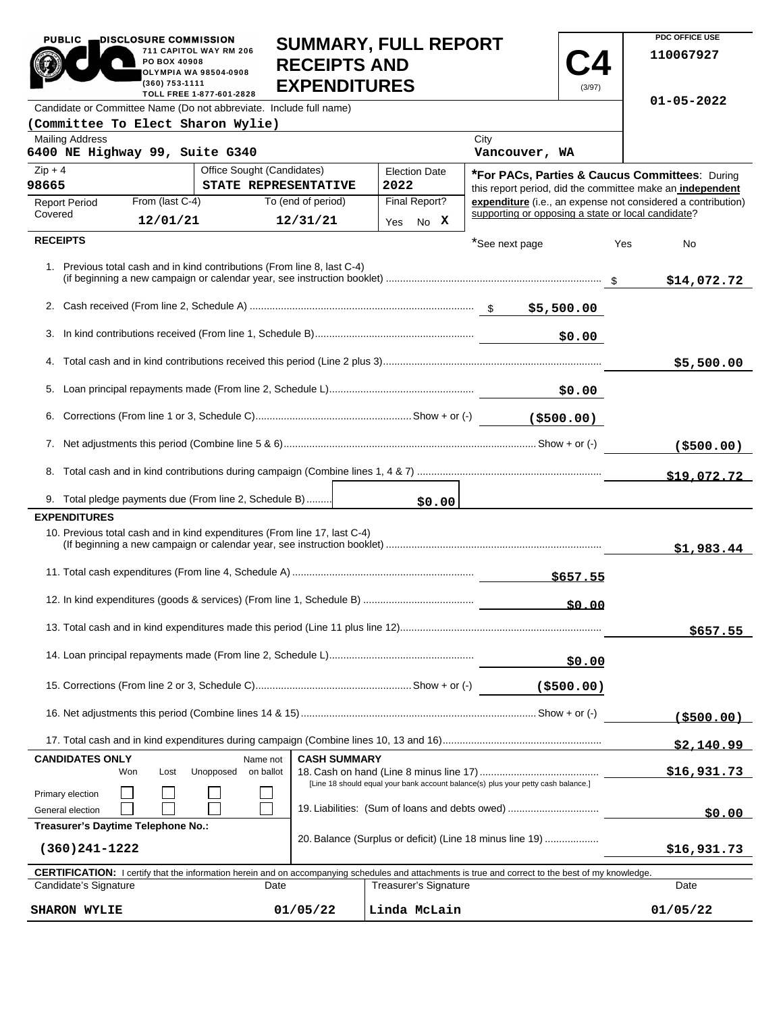| <b>PUBLIC</b>                                                                                                                                                               | DISCLOSURE COMMISSION<br><b>SUMMARY, FULL REPORT</b><br>711 CAPITOL WAY RM 206<br>PO BOX 40908<br><b>RECEIPTS AND</b><br><b>OLYMPIA WA 98504-0908</b><br><b>EXPENDITURES</b><br>(360) 753-1111<br>(3/97) |                                                                                                                                                            |          |                                                              |        |                                                                                                             |                  | PDC OFFICE USE<br>110067927 |             |
|-----------------------------------------------------------------------------------------------------------------------------------------------------------------------------|----------------------------------------------------------------------------------------------------------------------------------------------------------------------------------------------------------|------------------------------------------------------------------------------------------------------------------------------------------------------------|----------|--------------------------------------------------------------|--------|-------------------------------------------------------------------------------------------------------------|------------------|-----------------------------|-------------|
| TOLL FREE 1-877-601-2828<br>Candidate or Committee Name (Do not abbreviate. Include full name)                                                                              |                                                                                                                                                                                                          |                                                                                                                                                            |          |                                                              |        |                                                                                                             | $01 - 05 - 2022$ |                             |             |
| (Committee To Elect Sharon Wylie)                                                                                                                                           |                                                                                                                                                                                                          |                                                                                                                                                            |          |                                                              |        |                                                                                                             |                  |                             |             |
| <b>Mailing Address</b><br>6400 NE Highway 99, Suite G340                                                                                                                    |                                                                                                                                                                                                          |                                                                                                                                                            |          |                                                              |        | City<br>Vancouver, WA                                                                                       |                  |                             |             |
| $Zip + 4$<br>98665                                                                                                                                                          |                                                                                                                                                                                                          | Office Sought (Candidates)<br>STATE REPRESENTATIVE                                                                                                         |          | <b>Election Date</b><br>2022                                 |        | *For PACs, Parties & Caucus Committees: During<br>this report period, did the committee make an independent |                  |                             |             |
| <b>Report Period</b>                                                                                                                                                        | From (last C-4)<br>To (end of period)<br>Final Report?                                                                                                                                                   |                                                                                                                                                            |          | expenditure (i.e., an expense not considered a contribution) |        |                                                                                                             |                  |                             |             |
| Covered                                                                                                                                                                     | 12/01/21                                                                                                                                                                                                 |                                                                                                                                                            | 12/31/21 | Yes No X                                                     |        | supporting or opposing a state or local candidate?                                                          |                  |                             |             |
| <b>RECEIPTS</b>                                                                                                                                                             |                                                                                                                                                                                                          |                                                                                                                                                            |          |                                                              |        | *See next page                                                                                              |                  | Yes                         | No          |
|                                                                                                                                                                             |                                                                                                                                                                                                          | 1. Previous total cash and in kind contributions (From line 8, last C-4)                                                                                   |          |                                                              |        |                                                                                                             |                  |                             | \$14,072.72 |
|                                                                                                                                                                             |                                                                                                                                                                                                          |                                                                                                                                                            |          |                                                              |        |                                                                                                             |                  |                             |             |
|                                                                                                                                                                             |                                                                                                                                                                                                          |                                                                                                                                                            |          |                                                              |        |                                                                                                             | \$0.00           |                             |             |
|                                                                                                                                                                             |                                                                                                                                                                                                          |                                                                                                                                                            |          |                                                              |        |                                                                                                             |                  |                             | \$5,500.00  |
|                                                                                                                                                                             |                                                                                                                                                                                                          |                                                                                                                                                            |          |                                                              |        |                                                                                                             |                  |                             |             |
| 6.                                                                                                                                                                          |                                                                                                                                                                                                          |                                                                                                                                                            |          |                                                              |        |                                                                                                             |                  |                             |             |
|                                                                                                                                                                             |                                                                                                                                                                                                          |                                                                                                                                                            |          |                                                              |        |                                                                                                             |                  |                             | ( \$500.00) |
|                                                                                                                                                                             |                                                                                                                                                                                                          |                                                                                                                                                            |          |                                                              |        |                                                                                                             |                  |                             | \$19,072.72 |
|                                                                                                                                                                             |                                                                                                                                                                                                          | 9. Total pledge payments due (From line 2, Schedule B)                                                                                                     |          |                                                              | \$0.00 |                                                                                                             |                  |                             |             |
| <b>EXPENDITURES</b>                                                                                                                                                         |                                                                                                                                                                                                          |                                                                                                                                                            |          |                                                              |        |                                                                                                             |                  |                             |             |
|                                                                                                                                                                             |                                                                                                                                                                                                          | 10. Previous total cash and in kind expenditures (From line 17, last C-4)                                                                                  |          |                                                              |        |                                                                                                             |                  |                             | \$1,983.44  |
|                                                                                                                                                                             |                                                                                                                                                                                                          |                                                                                                                                                            |          |                                                              |        |                                                                                                             | \$657.55         |                             |             |
|                                                                                                                                                                             |                                                                                                                                                                                                          |                                                                                                                                                            |          |                                                              |        |                                                                                                             | \$0.00           |                             |             |
|                                                                                                                                                                             |                                                                                                                                                                                                          |                                                                                                                                                            |          |                                                              |        |                                                                                                             |                  |                             | \$657.55    |
|                                                                                                                                                                             |                                                                                                                                                                                                          |                                                                                                                                                            |          |                                                              | \$0.00 |                                                                                                             |                  |                             |             |
|                                                                                                                                                                             |                                                                                                                                                                                                          |                                                                                                                                                            |          |                                                              |        | ( \$500.00)                                                                                                 |                  |                             |             |
|                                                                                                                                                                             |                                                                                                                                                                                                          |                                                                                                                                                            |          |                                                              |        | (5500.00)                                                                                                   |                  |                             |             |
|                                                                                                                                                                             |                                                                                                                                                                                                          |                                                                                                                                                            |          |                                                              |        | <u>\$2,140.99</u>                                                                                           |                  |                             |             |
| <b>CANDIDATES ONLY</b><br><b>CASH SUMMARY</b><br>Name not<br>Unopposed<br>on ballot<br>Won<br>Lost                                                                          |                                                                                                                                                                                                          |                                                                                                                                                            |          |                                                              |        | \$16,931.73                                                                                                 |                  |                             |             |
| [Line 18 should equal your bank account balance(s) plus your petty cash balance.]<br>Primary election<br>19. Liabilities: (Sum of loans and debts owed)<br>General election |                                                                                                                                                                                                          |                                                                                                                                                            |          |                                                              |        | \$0.00                                                                                                      |                  |                             |             |
| Treasurer's Daytime Telephone No.:<br>20. Balance (Surplus or deficit) (Line 18 minus line 19)<br>$(360)241 - 1222$                                                         |                                                                                                                                                                                                          |                                                                                                                                                            |          |                                                              |        | \$16,931.73                                                                                                 |                  |                             |             |
|                                                                                                                                                                             |                                                                                                                                                                                                          | <b>CERTIFICATION:</b> I certify that the information herein and on accompanying schedules and attachments is true and correct to the best of my knowledge. |          |                                                              |        |                                                                                                             |                  |                             |             |
| Candidate's Signature<br>Treasurer's Signature<br>Date                                                                                                                      |                                                                                                                                                                                                          |                                                                                                                                                            |          |                                                              |        |                                                                                                             | Date             |                             |             |
| Linda McLain<br>01/05/22<br><b>SHARON WYLIE</b>                                                                                                                             |                                                                                                                                                                                                          |                                                                                                                                                            |          |                                                              |        | 01/05/22                                                                                                    |                  |                             |             |

**PDC OFFICE USE** 

PUBLIC **DISCLOSURE COMMISSION**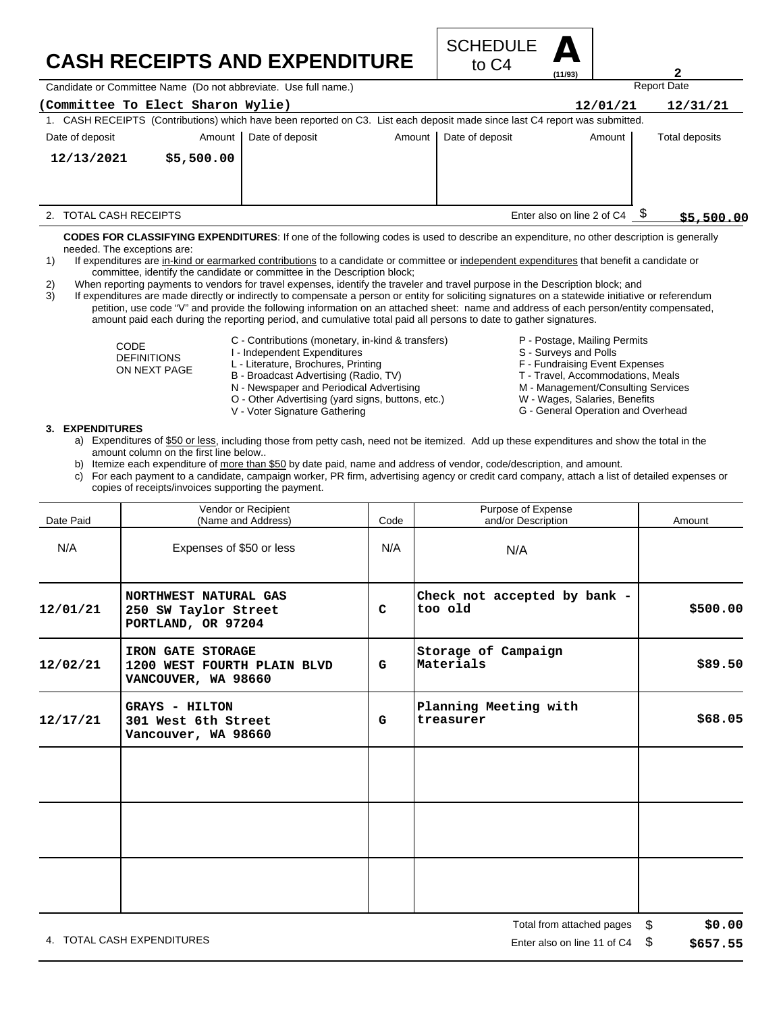## **CASH RECEIPTS AND EXPENDITURE**



Candidate or Committee Name (Do not abbreviate. Use full name.)

| <b>Udinal did Up the Hotel Continues I see The Hot displayment.</b> Use Tail Hamio.                                         |            |                 |          |                 |          |                |
|-----------------------------------------------------------------------------------------------------------------------------|------------|-----------------|----------|-----------------|----------|----------------|
| (Committee To Elect Sharon Wylie)                                                                                           |            |                 |          |                 | 12/01/21 | 12/31/21       |
| 1. CASH RECEIPTS (Contributions) which have been reported on C3. List each deposit made since last C4 report was submitted. |            |                 |          |                 |          |                |
| Date of deposit                                                                                                             | Amount     | Date of deposit | Amount I | Date of deposit | Amount   | Total deposits |
| 12/13/2021                                                                                                                  | \$5,500.00 |                 |          |                 |          |                |
|                                                                                                                             |            |                 |          |                 |          |                |
|                                                                                                                             |            |                 |          |                 |          |                |
| Enter also on line 2 of C4<br>2. TOTAL CASH RECEIPTS                                                                        |            |                 |          |                 |          | \$5,500.00     |

**CODES FOR CLASSIFYING EXPENDITURES**: If one of the following codes is used to describe an expenditure, no other description is generally needed. The exceptions are:

- 1) If expenditures are in-kind or earmarked contributions to a candidate or committee or independent expenditures that benefit a candidate or committee, identify the candidate or committee in the Description block;
- 2) When reporting payments to vendors for travel expenses, identify the traveler and travel purpose in the Description block; and

3) If expenditures are made directly or indirectly to compensate a person or entity for soliciting signatures on a statewide initiative or referendum petition, use code "V" and provide the following information on an attached sheet: name and address of each person/entity compensated, amount paid each during the reporting period, and cumulative total paid all persons to date to gather signatures.

> CODE DEFINITIONS ON NEXT PAGE

- C Contributions (monetary, in-kind & transfers)
- I Independent Expenditures
- L Literature, Brochures, Printing
- B Broadcast Advertising (Radio, TV)
- N Newspaper and Periodical Advertising
- O Other Advertising (yard signs, buttons, etc.)
- V Voter Signature Gathering
- P Postage, Mailing Permits
- S Surveys and Polls
- F Fundraising Event Expenses
- T Travel, Accommodations, Meals
- M Management/Consulting Services

Report Date

**2**

- W Wages, Salaries, Benefits
- G General Operation and Overhead

## **3. EXPENDITURES**

- a) Expenditures of \$50 or less, including those from petty cash, need not be itemized. Add up these expenditures and show the total in the amount column on the first line below..
- b) Itemize each expenditure of more than \$50 by date paid, name and address of vendor, code/description, and amount.
- c) For each payment to a candidate, campaign worker, PR firm, advertising agency or credit card company, attach a list of detailed expenses or copies of receipts/invoices supporting the payment.

| Vendor or Recipient<br>Date Paid<br>(Name and Address) |                                                                         | Code | Purpose of Expense<br>and/or Description | Amount   |  |
|--------------------------------------------------------|-------------------------------------------------------------------------|------|------------------------------------------|----------|--|
| N/A                                                    | Expenses of \$50 or less                                                | N/A  | N/A                                      |          |  |
| 12/01/21                                               | NORTHWEST NATURAL GAS<br>250 SW Taylor Street<br>PORTLAND, OR 97204     | C    | Check not accepted by bank -<br>too old  | \$500.00 |  |
| 12/02/21                                               | IRON GATE STORAGE<br>1200 WEST FOURTH PLAIN BLVD<br>VANCOUVER, WA 98660 | G    | Storage of Campaign<br>Materials         | \$89.50  |  |
| 12/17/21                                               | <b>GRAYS - HILTON</b><br>301 West 6th Street<br>Vancouver, WA 98660     | G    | Planning Meeting with<br>treasurer       | \$68.05  |  |
|                                                        |                                                                         |      |                                          |          |  |
|                                                        |                                                                         |      |                                          |          |  |
|                                                        |                                                                         |      |                                          |          |  |

4. TOTAL CASH EXPENDITURES **EXAMPLE 2008** 2012 12:00 THE RISP ON LINE 2012 12:00 THE RISP ON LINE 11 Of C4 \$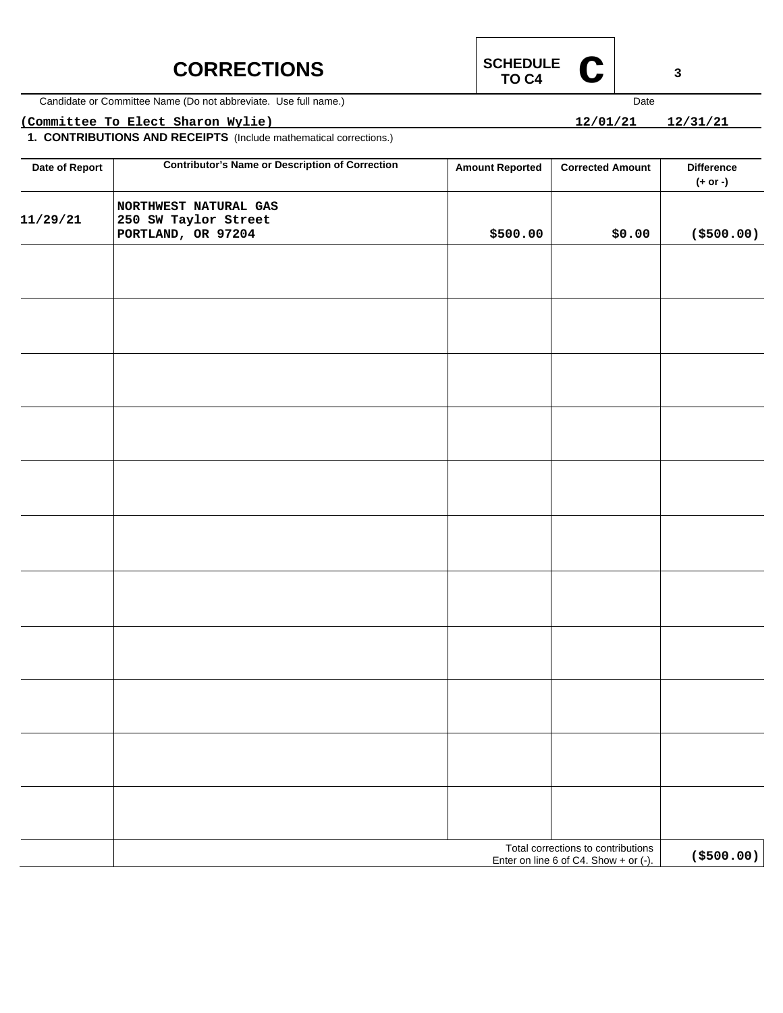**CORRECTIONS** 



Candidate or Committee Name (Do not abbreviate. Use full name.)

## **(Committee To Elect Sharon Wylie) 12/01/21 12/31/21**

**1. CONTRIBUTIONS AND RECEIPTS** (Include mathematical corrections.)

| Date of Report | <b>Contributor's Name or Description of Correction</b>              | <b>Amount Reported</b> | <b>Corrected Amount</b>                                                     | <b>Difference</b><br>$(+ or -)$ |
|----------------|---------------------------------------------------------------------|------------------------|-----------------------------------------------------------------------------|---------------------------------|
| 11/29/21       | NORTHWEST NATURAL GAS<br>250 SW Taylor Street<br>PORTLAND, OR 97204 | \$500.00               | \$0.00                                                                      | ( \$500.00)                     |
|                |                                                                     |                        |                                                                             |                                 |
|                |                                                                     |                        |                                                                             |                                 |
|                |                                                                     |                        |                                                                             |                                 |
|                |                                                                     |                        |                                                                             |                                 |
|                |                                                                     |                        |                                                                             |                                 |
|                |                                                                     |                        |                                                                             |                                 |
|                |                                                                     |                        |                                                                             |                                 |
|                |                                                                     |                        |                                                                             |                                 |
|                |                                                                     |                        |                                                                             |                                 |
|                |                                                                     |                        |                                                                             |                                 |
|                |                                                                     |                        |                                                                             |                                 |
|                |                                                                     |                        | Total corrections to contributions<br>Enter on line 6 of C4. Show + or (-). | ( \$500.00)                     |



12/01/21 12/31/21

Date